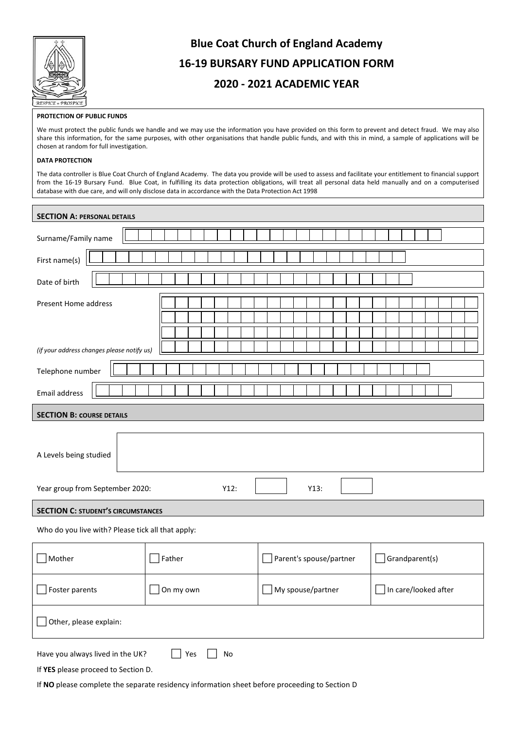

# **Blue Coat Church of England Academy 16-19 BURSARY FUND APPLICATION FORM 2020 - 2021 ACADEMIC YEAR**

### **PROTECTION OF PUBLIC FUNDS**

We must protect the public funds we handle and we may use the information you have provided on this form to prevent and detect fraud. We may also share this information, for the same purposes, with other organisations that handle public funds, and with this in mind, a sample of applications will be chosen at random for full investigation.

#### **DATA PROTECTION**

The data controller is Blue Coat Church of England Academy. The data you provide will be used to assess and facilitate your entitlement to financial support from the 16-19 Bursary Fund. Blue Coat, in fulfilling its data protection obligations, will treat all personal data held manually and on a computerised database with due care, and will only disclose data in accordance with the Data Protection Act 1998

| <b>SECTION A: PERSONAL DETAILS</b>                                                              |           |                         |                      |  |
|-------------------------------------------------------------------------------------------------|-----------|-------------------------|----------------------|--|
| Surname/Family name                                                                             |           |                         |                      |  |
| First name(s)                                                                                   |           |                         |                      |  |
| Date of birth                                                                                   |           |                         |                      |  |
| Present Home address                                                                            |           |                         |                      |  |
|                                                                                                 |           |                         |                      |  |
| (if your address changes please notify us)                                                      |           |                         |                      |  |
| Telephone number                                                                                |           |                         |                      |  |
| Email address                                                                                   |           |                         |                      |  |
| <b>SECTION B: COURSE DETAILS</b>                                                                |           |                         |                      |  |
|                                                                                                 |           |                         |                      |  |
| A Levels being studied                                                                          |           |                         |                      |  |
| Year group from September 2020:<br>Y12:<br>Y13:                                                 |           |                         |                      |  |
| <b>SECTION C: STUDENT'S CIRCUMSTANCES</b>                                                       |           |                         |                      |  |
| Who do you live with? Please tick all that apply:                                               |           |                         |                      |  |
| $\lceil$ Mother                                                                                 | Father    | Parent's spouse/partner | Grandparent(s)       |  |
| Foster parents                                                                                  | On my own | My spouse/partner       | In care/looked after |  |
| Other, please explain:                                                                          |           |                         |                      |  |
| Have you always lived in the UK?<br>Yes<br>$\mathsf{No}$<br>If YES please proceed to Section D. |           |                         |                      |  |

If **NO** please complete the separate residency information sheet before proceeding to Section D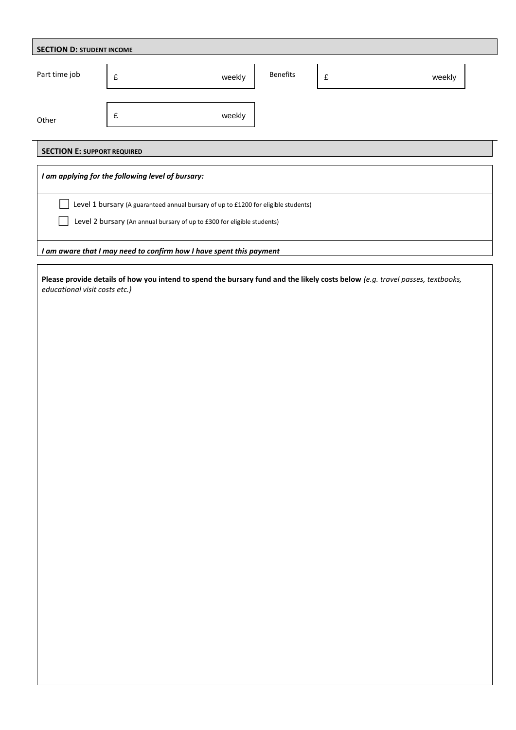| <b>SECTION E: SUPPORT REQUIRED</b>                                                 |  |  |  |  |  |  |
|------------------------------------------------------------------------------------|--|--|--|--|--|--|
| I am applying for the following level of bursary:                                  |  |  |  |  |  |  |
| Level 1 bursary (A guaranteed annual bursary of up to £1200 for eligible students) |  |  |  |  |  |  |
| Level 2 bursary (An annual bursary of up to £300 for eligible students)            |  |  |  |  |  |  |
| I am aware that I may need to confirm how I have spent this payment                |  |  |  |  |  |  |
|                                                                                    |  |  |  |  |  |  |
|                                                                                    |  |  |  |  |  |  |
|                                                                                    |  |  |  |  |  |  |
|                                                                                    |  |  |  |  |  |  |
|                                                                                    |  |  |  |  |  |  |
|                                                                                    |  |  |  |  |  |  |
|                                                                                    |  |  |  |  |  |  |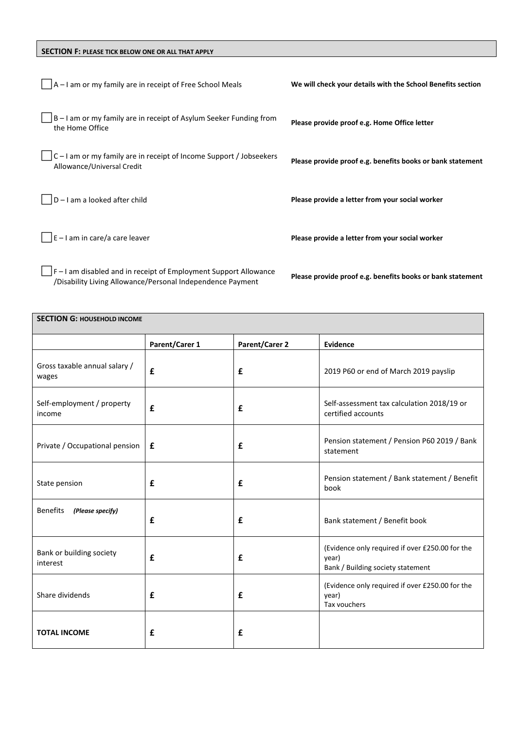## **SECTION F: PLEASE TICK BELOW ONE OR ALL THAT APPLY**

| A-I am or my family are in receipt of Free School Meals                                                                      | We will check your details with the School Benefits section |
|------------------------------------------------------------------------------------------------------------------------------|-------------------------------------------------------------|
| B-I am or my family are in receipt of Asylum Seeker Funding from<br>the Home Office                                          | Please provide proof e.g. Home Office letter                |
| C-I am or my family are in receipt of Income Support / Jobseekers<br>Allowance/Universal Credit                              | Please provide proof e.g. benefits books or bank statement  |
| D-I am a looked after child                                                                                                  | Please provide a letter from your social worker             |
| E-I am in care/a care leaver                                                                                                 | Please provide a letter from your social worker             |
| F-I am disabled and in receipt of Employment Support Allowance<br>/Disability Living Allowance/Personal Independence Payment | Please provide proof e.g. benefits books or bank statement  |

**SECTION G: HOUSEHOLD INCOME Parent/Carer 1 Parent/Carer 2 Evidence** Gross taxable annual salary / wages **£ £** 2019 P60 or end of March 2019 payslip Self-employment / property income **£ £** Self-assessment tax calculation 2018/19 or certified accounts Private / Occupational pension **£ £** Pension statement / Pension P60 2019 / Bank statement State pension **E E E** Pension statement / Bank statement / Benefit book Benefits *(Please specify)* **£ £** Bank statement / Benefit book Bank or building society interest **£ £** (Evidence only required if over £250.00 for the year) Bank / Building society statement Share dividends **E E E E** (Evidence only required if over £250.00 for the year) Tax vouchers **TOTAL INCOME £ £**